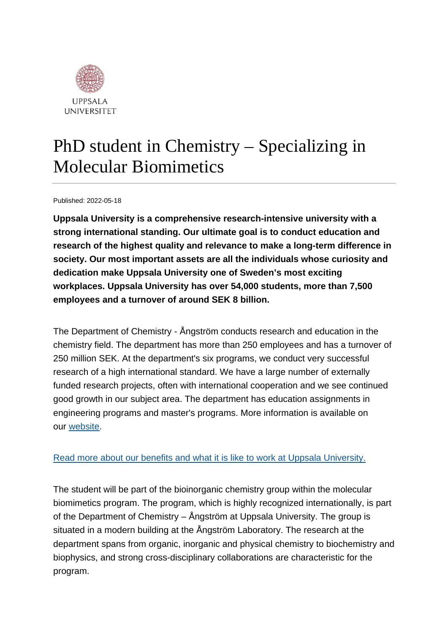

# PhD student in Chemistry – Specializing in Molecular Biomimetics

Published: 2022-05-18

**Uppsala University is a comprehensive research-intensive university with a strong international standing. Our ultimate goal is to conduct education and research of the highest quality and relevance to make a long-term difference in society. Our most important assets are all the individuals whose curiosity and dedication make Uppsala University one of Sweden's most exciting workplaces. Uppsala University has over 54,000 students, more than 7,500 employees and a turnover of around SEK 8 billion.**

The Department of Chemistry - Ångström conducts research and education in the chemistry field. The department has more than 250 employees and has a turnover of 250 million SEK. At the department's six programs, we conduct very successful research of a high international standard. We have a large number of externally funded research projects, often with international cooperation and we see continued good growth in our subject area. The department has education assignments in engineering programs and master's programs. More information is available on our [website.](https://kemi.uu.se/angstrom/?languageId=1)

### [Read more about our benefits and what it is like to work at Uppsala University.](https://www.uu.se/en/about-uu/join-us/)

The student will be part of the bioinorganic chemistry group within the molecular biomimetics program. The program, which is highly recognized internationally, is part of the Department of Chemistry – Ångström at Uppsala University. The group is situated in a modern building at the Ångström Laboratory. The research at the department spans from organic, inorganic and physical chemistry to biochemistry and biophysics, and strong cross-disciplinary collaborations are characteristic for the program.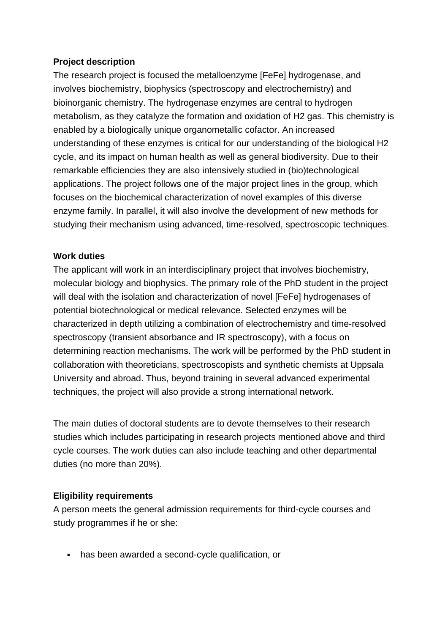### **Project description**

The research project is focused the metalloenzyme [FeFe] hydrogenase, and involves biochemistry, biophysics (spectroscopy and electrochemistry) and bioinorganic chemistry. The hydrogenase enzymes are central to hydrogen metabolism, as they catalyze the formation and oxidation of H2 gas. This chemistry is enabled by a biologically unique organometallic cofactor. An increased understanding of these enzymes is critical for our understanding of the biological H2 cycle, and its impact on human health as well as general biodiversity. Due to their remarkable efficiencies they are also intensively studied in (bio)technological applications. The project follows one of the major project lines in the group, which focuses on the biochemical characterization of novel examples of this diverse enzyme family. In parallel, it will also involve the development of new methods for studying their mechanism using advanced, time-resolved, spectroscopic techniques.

#### **Work duties**

The applicant will work in an interdisciplinary project that involves biochemistry, molecular biology and biophysics. The primary role of the PhD student in the project will deal with the isolation and characterization of novel [FeFe] hydrogenases of potential biotechnological or medical relevance. Selected enzymes will be characterized in depth utilizing a combination of electrochemistry and time-resolved spectroscopy (transient absorbance and IR spectroscopy), with a focus on determining reaction mechanisms. The work will be performed by the PhD student in collaboration with theoreticians, spectroscopists and synthetic chemists at Uppsala University and abroad. Thus, beyond training in several advanced experimental techniques, the project will also provide a strong international network.

The main duties of doctoral students are to devote themselves to their research studies which includes participating in research projects mentioned above and third cycle courses. The work duties can also include teaching and other departmental duties (no more than 20%).

### **Eligibility requirements**

A person meets the general admission requirements for third-cycle courses and study programmes if he or she:

has been awarded a second-cycle qualification, or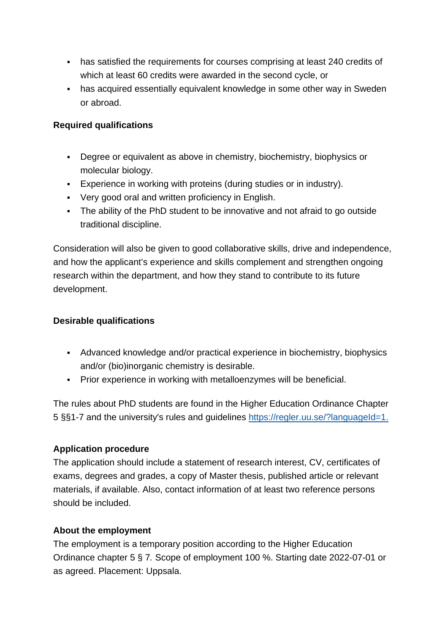- has satisfied the requirements for courses comprising at least 240 credits of which at least 60 credits were awarded in the second cycle, or
- has acquired essentially equivalent knowledge in some other way in Sweden or abroad.

### **Required qualifications**

- Degree or equivalent as above in chemistry, biochemistry, biophysics or molecular biology.
- Experience in working with proteins (during studies or in industry).
- Very good oral and written proficiency in English.
- The ability of the PhD student to be innovative and not afraid to go outside traditional discipline.

Consideration will also be given to good collaborative skills, drive and independence, and how the applicant's experience and skills complement and strengthen ongoing research within the department, and how they stand to contribute to its future development.

### **Desirable qualifications**

- Advanced knowledge and/or practical experience in biochemistry, biophysics and/or (bio)inorganic chemistry is desirable.
- Prior experience in working with metalloenzymes will be beneficial.

The rules about PhD students are found in the Higher Education Ordinance Chapter 5 §§1-7 and the university's rules and guidelines [https://regler.uu.se/?languageId=1.](https://regler.uu.se/?languageId=1)

### **Application procedure**

The application should include a statement of research interest, CV, certificates of exams, degrees and grades, a copy of Master thesis, published article or relevant materials, if available. Also, contact information of at least two reference persons should be included.

### **About the employment**

The employment is a temporary position according to the Higher Education Ordinance chapter 5 § 7*.* Scope of employment 100 %. Starting date 2022-07-01 or as agreed. Placement: Uppsala.